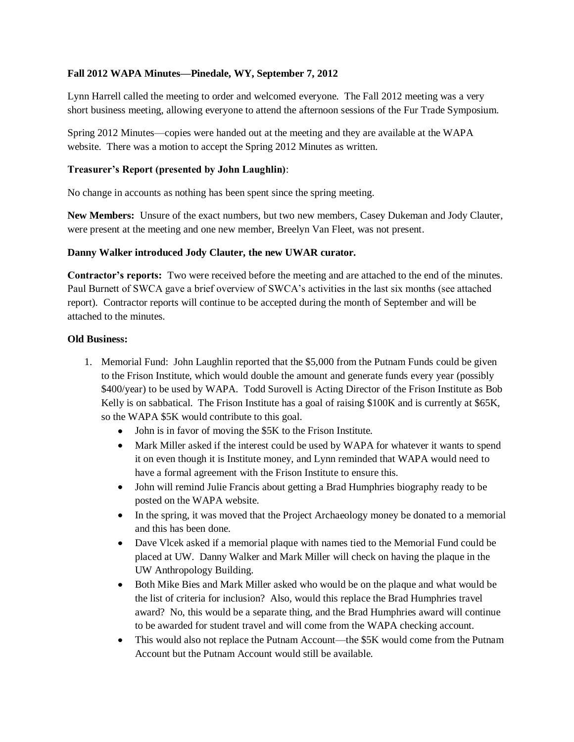## **Fall 2012 WAPA Minutes—Pinedale, WY, September 7, 2012**

Lynn Harrell called the meeting to order and welcomed everyone. The Fall 2012 meeting was a very short business meeting, allowing everyone to attend the afternoon sessions of the Fur Trade Symposium.

Spring 2012 Minutes—copies were handed out at the meeting and they are available at the WAPA website. There was a motion to accept the Spring 2012 Minutes as written.

#### **Treasurer's Report (presented by John Laughlin)**:

No change in accounts as nothing has been spent since the spring meeting.

**New Members:** Unsure of the exact numbers, but two new members, Casey Dukeman and Jody Clauter, were present at the meeting and one new member, Breelyn Van Fleet, was not present.

## **Danny Walker introduced Jody Clauter, the new UWAR curator.**

**Contractor's reports:** Two were received before the meeting and are attached to the end of the minutes. Paul Burnett of SWCA gave a brief overview of SWCA's activities in the last six months (see attached report). Contractor reports will continue to be accepted during the month of September and will be attached to the minutes.

#### **Old Business:**

- 1. Memorial Fund: John Laughlin reported that the \$5,000 from the Putnam Funds could be given to the Frison Institute, which would double the amount and generate funds every year (possibly \$400/year) to be used by WAPA. Todd Surovell is Acting Director of the Frison Institute as Bob Kelly is on sabbatical. The Frison Institute has a goal of raising \$100K and is currently at \$65K, so the WAPA \$5K would contribute to this goal.
	- John is in favor of moving the \$5K to the Frison Institute.
	- $\bullet$ Mark Miller asked if the interest could be used by WAPA for whatever it wants to spend it on even though it is Institute money, and Lynn reminded that WAPA would need to have a formal agreement with the Frison Institute to ensure this.
	- $\bullet$ John will remind Julie Francis about getting a Brad Humphries biography ready to be posted on the WAPA website.
	- In the spring, it was moved that the Project Archaeology money be donated to a memorial and this has been done.
	- Dave Vlcek asked if a memorial plaque with names tied to the Memorial Fund could be placed at UW. Danny Walker and Mark Miller will check on having the plaque in the UW Anthropology Building.
	- Both Mike Bies and Mark Miller asked who would be on the plaque and what would be  $\bullet$ the list of criteria for inclusion? Also, would this replace the Brad Humphries travel award? No, this would be a separate thing, and the Brad Humphries award will continue to be awarded for student travel and will come from the WAPA checking account.
	- This would also not replace the Putnam Account—the \$5K would come from the Putnam Account but the Putnam Account would still be available.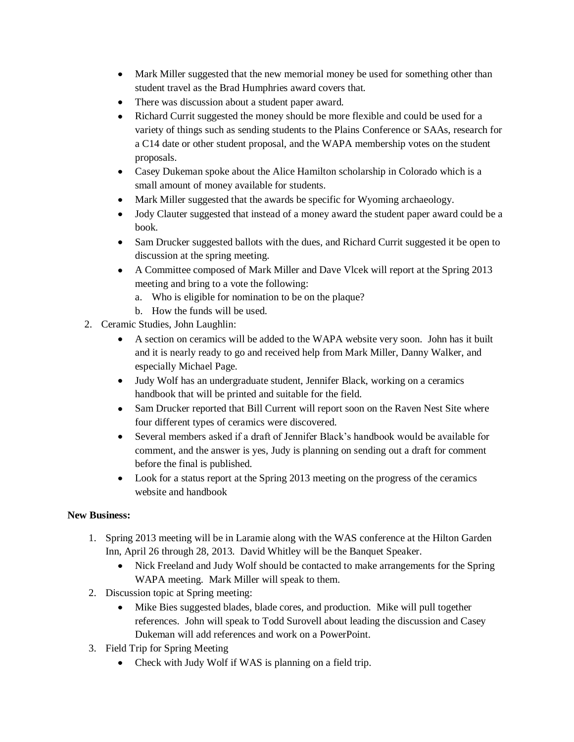- Mark Miller suggested that the new memorial money be used for something other than student travel as the Brad Humphries award covers that.
- There was discussion about a student paper award.
- Richard Currit suggested the money should be more flexible and could be used for a  $\bullet$ variety of things such as sending students to the Plains Conference or SAAs, research for a C14 date or other student proposal, and the WAPA membership votes on the student proposals.
- Casey Dukeman spoke about the Alice Hamilton scholarship in Colorado which is a small amount of money available for students.
- Mark Miller suggested that the awards be specific for Wyoming archaeology.  $\bullet$
- Jody Clauter suggested that instead of a money award the student paper award could be a  $\bullet$ book.
- Sam Drucker suggested ballots with the dues, and Richard Currit suggested it be open to discussion at the spring meeting.
- A Committee composed of Mark Miller and Dave Vlcek will report at the Spring 2013 meeting and bring to a vote the following:
	- a. Who is eligible for nomination to be on the plaque?
	- b. How the funds will be used.
- 2. Ceramic Studies, John Laughlin:
	- A section on ceramics will be added to the WAPA website very soon. John has it built and it is nearly ready to go and received help from Mark Miller, Danny Walker, and especially Michael Page.
	- Judy Wolf has an undergraduate student, Jennifer Black, working on a ceramics handbook that will be printed and suitable for the field.
	- Sam Drucker reported that Bill Current will report soon on the Raven Nest Site where four different types of ceramics were discovered.
	- $\bullet$ Several members asked if a draft of Jennifer Black's handbook would be available for comment, and the answer is yes, Judy is planning on sending out a draft for comment before the final is published.
	- Look for a status report at the Spring 2013 meeting on the progress of the ceramics website and handbook

# **New Business:**

- 1. Spring 2013 meeting will be in Laramie along with the WAS conference at the Hilton Garden Inn, April 26 through 28, 2013. David Whitley will be the Banquet Speaker.
	- Nick Freeland and Judy Wolf should be contacted to make arrangements for the Spring WAPA meeting. Mark Miller will speak to them.
- 2. Discussion topic at Spring meeting:
	- $\bullet$ Mike Bies suggested blades, blade cores, and production. Mike will pull together references. John will speak to Todd Surovell about leading the discussion and Casey Dukeman will add references and work on a PowerPoint.
- 3. Field Trip for Spring Meeting
	- Check with Judy Wolf if WAS is planning on a field trip.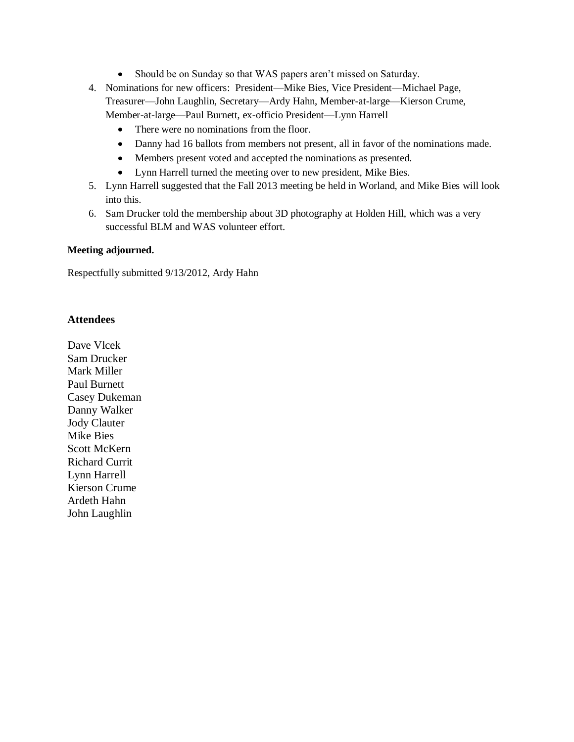- $\bullet$ Should be on Sunday so that WAS papers aren't missed on Saturday.
- 4. Nominations for new officers: President—Mike Bies, Vice President—Michael Page, Treasurer—John Laughlin, Secretary—Ardy Hahn, Member-at-large—Kierson Crume, Member-at-large—Paul Burnett, ex-officio President—Lynn Harrell
	- $\bullet$ There were no nominations from the floor.
	- Danny had 16 ballots from members not present, all in favor of the nominations made.
	- Members present voted and accepted the nominations as presented.  $\bullet$
	- Lynn Harrell turned the meeting over to new president, Mike Bies.
- 5. Lynn Harrell suggested that the Fall 2013 meeting be held in Worland, and Mike Bies will look into this.
- 6. Sam Drucker told the membership about 3D photography at Holden Hill, which was a very successful BLM and WAS volunteer effort.

#### **Meeting adjourned.**

Respectfully submitted 9/13/2012, Ardy Hahn

# **Attendees**

Dave Vlcek Sam Drucker Mark Miller Paul Burnett Casey Dukeman Danny Walker Jody Clauter Mike Bies Scott McKern Richard Currit Lynn Harrell Kierson Crume Ardeth Hahn John Laughlin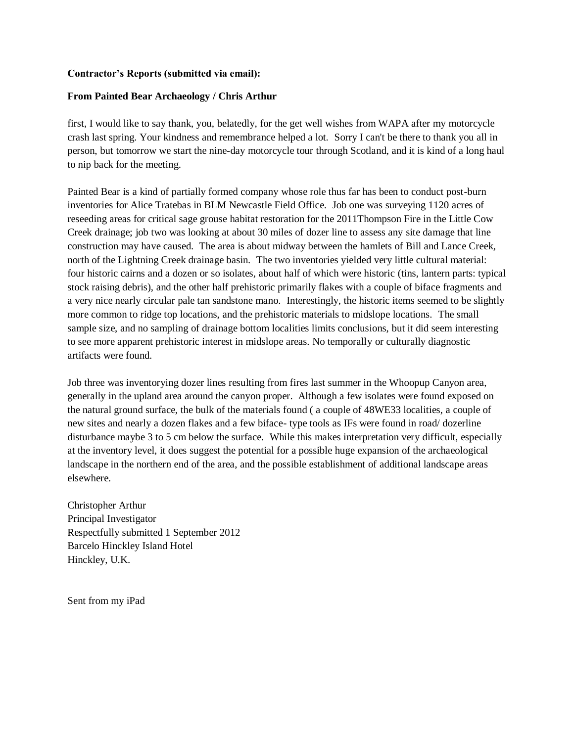#### **Contractor's Reports (submitted via email):**

#### **From Painted Bear Archaeology / Chris Arthur**

first, I would like to say thank, you, belatedly, for the get well wishes from WAPA after my motorcycle crash last spring. Your kindness and remembrance helped a lot. Sorry I can't be there to thank you all in person, but tomorrow we start the nine-day motorcycle tour through Scotland, and it is kind of a long haul to nip back for the meeting.

Painted Bear is a kind of partially formed company whose role thus far has been to conduct post-burn inventories for Alice Tratebas in BLM Newcastle Field Office. Job one was surveying 1120 acres of reseeding areas for critical sage grouse habitat restoration for the 2011Thompson Fire in the Little Cow Creek drainage; job two was looking at about 30 miles of dozer line to assess any site damage that line construction may have caused. The area is about midway between the hamlets of Bill and Lance Creek, north of the Lightning Creek drainage basin. The two inventories yielded very little cultural material: four historic cairns and a dozen or so isolates, about half of which were historic (tins, lantern parts: typical stock raising debris), and the other half prehistoric primarily flakes with a couple of biface fragments and a very nice nearly circular pale tan sandstone mano. Interestingly, the historic items seemed to be slightly more common to ridge top locations, and the prehistoric materials to midslope locations. The small sample size, and no sampling of drainage bottom localities limits conclusions, but it did seem interesting to see more apparent prehistoric interest in midslope areas. No temporally or culturally diagnostic artifacts were found.

Job three was inventorying dozer lines resulting from fires last summer in the Whoopup Canyon area, generally in the upland area around the canyon proper. Although a few isolates were found exposed on the natural ground surface, the bulk of the materials found ( a couple of 48WE33 localities, a couple of new sites and nearly a dozen flakes and a few biface- type tools as IFs were found in road/ dozerline disturbance maybe 3 to 5 cm below the surface. While this makes interpretation very difficult, especially at the inventory level, it does suggest the potential for a possible huge expansion of the archaeological landscape in the northern end of the area, and the possible establishment of additional landscape areas elsewhere.

Christopher Arthur Principal Investigator Respectfully submitted 1 September 2012 Barcelo Hinckley Island Hotel Hinckley, U.K.

Sent from my iPad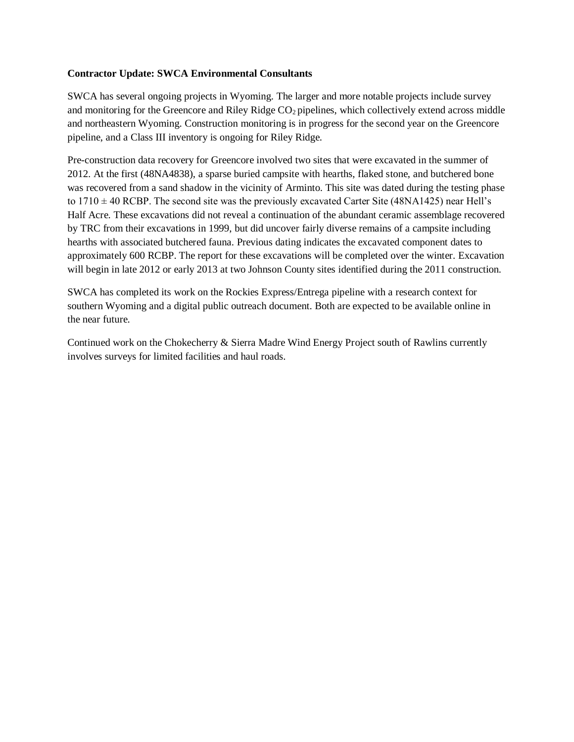#### **Contractor Update: SWCA Environmental Consultants**

SWCA has several ongoing projects in Wyoming. The larger and more notable projects include survey and monitoring for the Greencore and Riley Ridge CO<sub>2</sub> pipelines, which collectively extend across middle and northeastern Wyoming. Construction monitoring is in progress for the second year on the Greencore pipeline, and a Class III inventory is ongoing for Riley Ridge.

Pre-construction data recovery for Greencore involved two sites that were excavated in the summer of 2012. At the first (48NA4838), a sparse buried campsite with hearths, flaked stone, and butchered bone was recovered from a sand shadow in the vicinity of Arminto. This site was dated during the testing phase to  $1710 \pm 40$  RCBP. The second site was the previously excavated Carter Site (48NA1425) near Hell's Half Acre. These excavations did not reveal a continuation of the abundant ceramic assemblage recovered by TRC from their excavations in 1999, but did uncover fairly diverse remains of a campsite including hearths with associated butchered fauna. Previous dating indicates the excavated component dates to approximately 600 RCBP. The report for these excavations will be completed over the winter. Excavation will begin in late 2012 or early 2013 at two Johnson County sites identified during the 2011 construction.

SWCA has completed its work on the Rockies Express/Entrega pipeline with a research context for southern Wyoming and a digital public outreach document. Both are expected to be available online in the near future.

Continued work on the Chokecherry & Sierra Madre Wind Energy Project south of Rawlins currently involves surveys for limited facilities and haul roads.